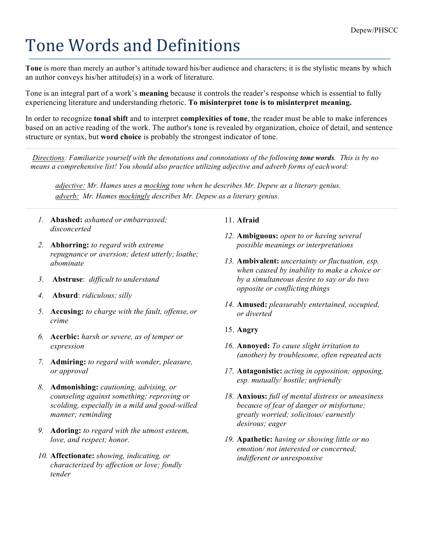# Tone Words and Definitions

**Tone** is more than merely an author's attitude toward his/her audience and characters; it is the stylistic means by which an author conveys his/her attitude(s) in a work of literature.

Tone is an integral part of a work's **meaning** because it controls the reader's response which is essential to fully experiencing literature and understanding rhetoric. **To misinterpret tone is to misinterpret meaning.**

In order to recognize **tonal shift** and to interpret **complexities of tone**, the reader must be able to make inferences based on an active reading of the work. The author's tone is revealed by organization, choice of detail, and sentence structure or syntax, but **word choice** is probably the strongest indicator of tone.

*Directions: Familiarize yourself with the denotations and connotations of the following tone words. This is by no means a comprehensive list! You should also practice utilizing adjective and adverb forms of eachword:*

*adjective: Mr. Hames uses a mocking tone when he describes Mr. Depew as a literary genius. adverb: Mr. Hames mockingly describes Mr. Depew as a literary genius.*

- *1.* **Abashed:** *ashamed or embarrassed; disconcerted*
- *2.* **Abhorring:** *to regard with extreme repugnance or aversion; detest utterly; loathe; abominate*
- *3.* **Abstruse**: *difficult to understand*
- *4.* **Absurd**: *ridiculous; silly*
- *5.* **Accusing:** *to charge with the fault, offense, or crime*
- *6.* **Acerbic:** *harsh or severe, as of temper or expression*
- *7.* **Admiring:** *to regard with wonder, pleasure, or approval*
- *8.* **Admonishing:** *cautioning, advising, or counseling against something; reproving or scolding, especially in a mild and good-willed manner; reminding*
- *9.* **Adoring:** *to regard with the utmost esteem, love, and respect; honor.*
- *10.* **Affectionate:** *showing, indicating, or characterized by affection or love; fondly tender*

## 11. **Afraid**

- *12.* **Ambiguous:** *open to or having several possible meanings or interpretations*
- *13.* **Ambivalent:** *uncertainty or fluctuation, esp. when caused by inability to make a choice or by a simultaneous desire to say or do two opposite or conflicting things*
- *14.* **Amused:** *pleasurably entertained, occupied, or diverted*
- 15. **Angry**
- *16.* **Annoyed:** *To cause slight irritation to (another) by troublesome, often repeated acts*
- *17.* **Antagonistic:** *acting in opposition; opposing, esp. mutually/ hostile; unfriendly*
- *18.* **Anxious:** *full of mental distress or uneasiness because of fear of danger or misfortune; greatly worried; solicitous/ earnestly desirous; eager*
- *19.* **Apathetic:** *having or showing little or no emotion/ not interested or concerned; indifferent or unresponsive*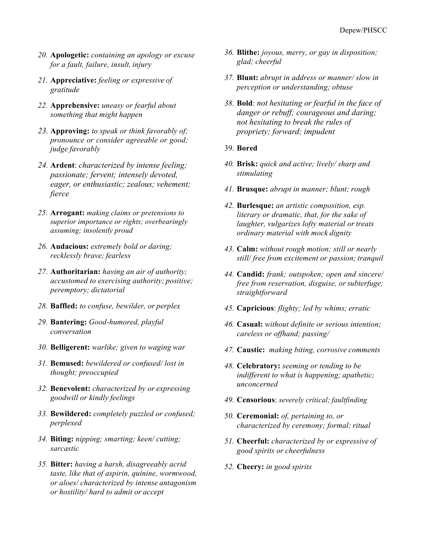- *20.* **Apologetic:** *containing an apology or excuse for a fault, failure, insult, injury*
- *21.* **Appreciative:** *feeling or expressive of gratitude*
- *22.* **Apprehensive:** *uneasy or fearful about something that might happen*
- *23.* **Approving:** *to speak or think favorably of; pronounce or consider agreeable or good; judge favorably*
- *24.* **Ardent**: *characterized by intense feeling; passionate; fervent; intensely devoted, eager, or enthusiastic; zealous; vehement; fierce*
- *25.* **Arrogant:** *making claims or pretensions to superior importance or rights; overbearingly assuming; insolently proud*
- *26.* **Audacious:** *extremely bold or daring; recklessly brave; fearless*
- *27.* **Authoritarian:** *having an air of authority; accustomed to exercising authority; positive; peremptory; dictatorial*
- *28.* **Baffled:** *to confuse, bewilder, or perplex*
- *29.* **Bantering:** *Good-humored, playful conversation*
- *30.* **Belligerent:** *warlike; given to waging war*
- *31.* **Bemused:** *bewildered or confused/ lost in thought; preoccupied*
- *32.* **Benevolent:** *characterized by or expressing goodwill or kindly feelings*
- *33.* **Bewildered:** *completely puzzled or confused; perplexed*
- *34.* **Biting:** *nipping; smarting; keen/ cutting; sarcastic*
- *35.* **Bitter:** *having a harsh, disagreeably acrid taste, like that of aspirin, quinine, wormwood, or aloes/ characterized by intense antagonism or hostility/ hard to admit or accept*
- *36.* **Blithe:** *joyous, merry, or gay in disposition; glad; cheerful*
- *37.* **Blunt:** *abrupt in address or manner/ slow in perception or understanding; obtuse*
- *38.* **Bold**: *not hesitating or fearful in the face of danger or rebuff; courageous and daring; not hesitating to break the rules of propriety; forward; impudent*
- 39. **Bored**
- *40.* **Brisk:** *quick and active; lively/ sharp and stimulating*
- *41.* **Brusque:** *abrupt in manner; blunt; rough*
- *42.* **Burlesque:** *an artistic composition, esp. literary or dramatic, that, for the sake of laughter, vulgarizes lofty material ortreats ordinary material with mock dignity*
- *43.* **Calm:** *without rough motion; still or nearly still/ free from excitement or passion; tranquil*
- *44.* **Candid:** *frank; outspoken; open and sincere/ free from reservation, disguise, or subterfuge; straightforward*
- *45.* **Capricious**: *flighty; led by whims; erratic*
- *46.* **Casual:** *without definite or serious intention; careless or offhand; passing/*
- *47.* **Caustic:** *making biting, corrosive comments*
- *48.* **Celebratory:** *seeming or tending to be indifferent to what is happening; apathetic; unconcerned*
- *49.* **Censorious**: *severely critical; faultfinding*
- *50.* **Ceremonial:** *of, pertaining to, or characterized by ceremony; formal; ritual*
- *51.* **Cheerful:** *characterized by or expressive of good spirits or cheerfulness*
- *52.* **Cheery:** *in good spirits*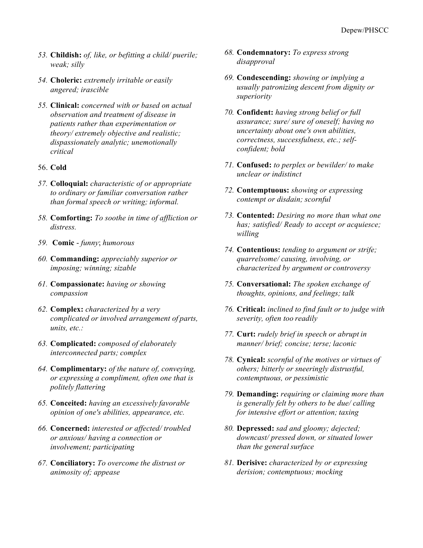- *53.* **Childish:** *of, like, or befitting a child/ puerile; weak; silly*
- *54.* **Choleric:** *extremely irritable or easily angered; irascible*
- *55.* **Clinical:** *concerned with or based on actual observation and treatment of disease in patients rather than experimentation or theory/ extremely objective and realistic; dispassionately analytic; unemotionally critical*

## 56. **Cold**

- *57.* **Colloquial:** *characteristic of or appropriate to ordinary or familiar conversation rather than formal speech or writing; informal.*
- *58.* **Comforting:** *To soothe in time of affliction or distress.*
- *59.* **Comic**  *funny*; *humorous*
- *60.* **Commanding:** *appreciably superior or imposing; winning; sizable*
- *61.* **Compassionate:** *having or showing compassion*
- *62.* **Complex:** *characterized by a very complicated or involved arrangement of parts, units, etc.:*
- *63.* **Complicated:** *composed of elaborately interconnected parts; complex*
- *64.* **Complimentary:** *of the nature of, conveying, or expressing a compliment, often one that is politely flattering*
- *65.* **Conceited:** *having an excessively favorable opinion of one's abilities, appearance, etc.*
- *66.* **Concerned:** *interested or affected/ troubled or anxious/ having a connection or involvement; participating*
- *67.* **Conciliatory:** *To overcome the distrust or animosity of; appease*
- *68.* **Condemnatory:** *To express strong disapproval*
- *69.* **Condescending:** *showing or implying a usually patronizing descent from dignity or superiority*
- *70.* **Confident:** *having strong belief or full assurance; sure/ sure of oneself; having no uncertainty about one's own abilities, correctness, successfulness, etc.; selfconfident; bold*
- *71.* **Confused:** *to perplex or bewilder/ to make unclear or indistinct*
- *72.* **Contemptuous:** *showing or expressing contempt or disdain; scornful*
- *73.* **Contented:** *Desiring no more than what one has; satisfied/ Ready to accept or acquiesce; willing*
- *74.* **Contentious:** *tending to argument or strife; quarrelsome/ causing, involving, or characterized by argument or controversy*
- *75.* **Conversational:** *The spoken exchange of thoughts, opinions, and feelings; talk*
- *76.* **Critical:** *inclined to find fault or to judge with severity, often too readily*
- *77.* **Curt:** *rudely brief in speech or abrupt in manner/ brief; concise; terse; laconic*
- *78.* **Cynical:** *scornful of the motives or virtues of others; bitterly or sneeringly distrustful, contemptuous, or pessimistic*
- *79.* **Demanding:** *requiring or claiming more than is generally felt by others to be due/ calling for intensive effort or attention; taxing*
- *80.* **Depressed:** *sad and gloomy; dejected; downcast/ pressed down, or situated lower than the general surface*
- *81.* **Derisive:** *characterized by or expressing derision; contemptuous; mocking*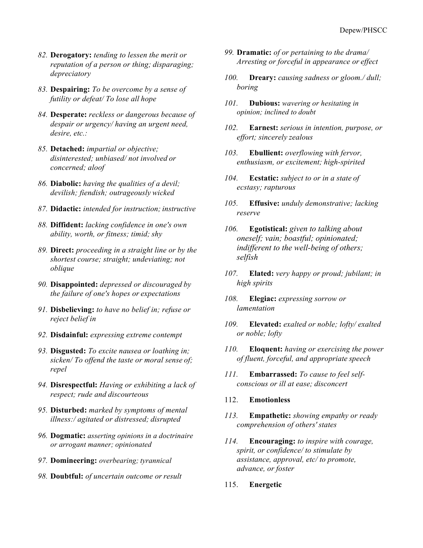- *82.* **Derogatory:** *tending to lessen the merit or reputation of a person or thing; disparaging; depreciatory*
- *83.* **Despairing:** *To be overcome by a sense of futility or defeat/ To lose all hope*
- *84.* **Desperate:** *reckless or dangerous because of despair or urgency/ having an urgent need, desire, etc.:*
- *85.* **Detached:** *impartial or objective; disinterested; unbiased/ not involved or concerned; aloof*
- *86.* **Diabolic:** *having the qualities of a devil; devilish; fiendish; outrageously wicked*
- *87.* **Didactic:** *intended for instruction; instructive*
- *88.* **Diffident:** *lacking confidence in one's own ability, worth, or fitness; timid; shy*
- *89.* **Direct:** *proceeding in a straight line or by the shortest course; straight; undeviating; not oblique*
- *90.* **Disappointed:** *depressed or discouraged by the failure of one's hopes or expectations*
- *91.* **Disbelieving:** *to have no belief in; refuse or reject belief in*
- *92.* **Disdainful:** *expressing extreme contempt*
- *93.* **Disgusted:** *To excite nausea or loathing in; sicken/ To offend the taste or moral sense of; repel*
- *94.* **Disrespectful:** *Having or exhibiting a lack of respect; rude and discourteous*
- *95.* **Disturbed:** *marked by symptoms of mental illness:/ agitated or distressed; disrupted*
- *96.* **Dogmatic:** *asserting opinions in a doctrinaire or arrogant manner; opinionated*
- *97.* **Domineering:** *overbearing; tyrannical*
- *98.* **Doubtful:** *of uncertain outcome or result*
- *99.* **Dramatic:** *of or pertaining to the drama/ Arresting or forceful in appearance or effect*
- *100.* **Dreary:** *causing sadness or gloom./ dull; boring*
- *101.* **Dubious:** *wavering or hesitating in opinion; inclined to doubt*
- *102.* **Earnest:** *serious in intention, purpose, or effort; sincerely zealous*
- *103.* **Ebullient:** *overflowing with fervor, enthusiasm, or excitement; high-spirited*
- *104.* **Ecstatic:** *subject to or in a state of ecstasy; rapturous*
- *105.* **Effusive:** *unduly demonstrative; lacking reserve*
- *106.* **Egotistical:** *given to talking about oneself; vain; boastful; opinionated; indifferent to the well-being of others; selfish*
- *107.* **Elated:** *very happy or proud; jubilant; in high spirits*
- *108.* **Elegiac:** *expressing sorrow or lamentation*
- *109.* **Elevated:** *exalted or noble; lofty/ exalted or noble; lofty*
- *110.* **Eloquent:** *having or exercising the power of fluent, forceful, and appropriate speech*
- *111.* **Embarrassed:** *To cause to feel selfconscious or ill at ease; disconcert*
- 112. **Emotionless**
- *113.* **Empathetic:** *showing empathy or ready comprehension of others' states*
- *114.* **Encouraging:** *to inspire with courage, spirit, or confidence/ to stimulate by assistance, approval, etc/ to promote, advance, or foster*
- 115. **Energetic**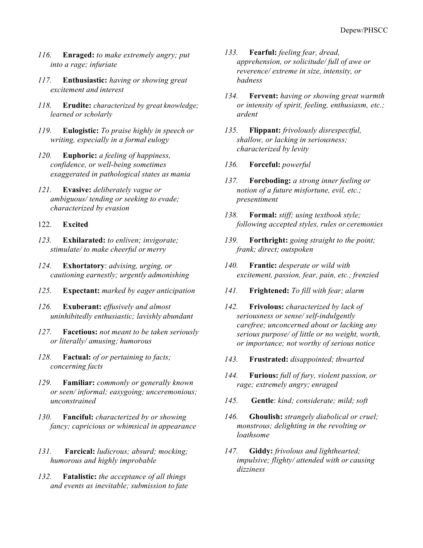- *116.* **Enraged:** *to make extremely angry; put into a rage; infuriate*
- *117.* **Enthusiastic:** *having or showing great excitement and interest*
- *118.* **Erudite:** *characterized by great knowledge; learned or scholarly*
- *119.* **Eulogistic:** *To praise highly in speech or writing, especially in a formal eulogy*
- *120.* **Euphoric:** *a feeling of happiness, confidence, or well-being sometimes exaggerated in pathological states as mania*
- *121.* **Evasive:** *deliberately vague or ambiguous/ tending or seeking to evade; characterized by evasion*

#### 122. **Excited**

- *123.* **Exhilarated:** *to enliven; invigorate; stimulate/ to make cheerful or merry*
- *124.* **Exhortatory**: *advising, urging, or cautioning earnestly; urgently admonishing*
- *125.* **Expectant:** *marked by eager anticipation*
- *126.* **Exuberant:** *effusively and almost uninhibitedly enthusiastic; lavishly abundant*
- *127.* **Facetious:** *not meant to be taken seriously or literally/ amusing; humorous*
- *128.* **Factual:** *of or pertaining to facts; concerning facts*
- *129.* **Familiar:** *commonly or generally known or seen/ informal; easygoing; unceremonious; unconstrained*
- *130.* **Fanciful:** *characterized by or showing fancy; capricious or whimsical in appearance*
- *131.* **Farcical:** *ludicrous; absurd; mocking; humorous and highly improbable*
- *132.* **Fatalistic:** *the acceptance of all things and events as inevitable; submission to fate*
- *133.* **Fearful:** *feeling fear, dread, apprehension, or solicitude/ full of awe or reverence/ extreme in size, intensity, or badness*
- *134.* **Fervent:** *having or showing great warmth or intensity of spirit, feeling, enthusiasm, etc.; ardent*
- *135.* **Flippant:** *frivolously disrespectful, shallow, or lacking in seriousness; characterized by levity*
- *136.* **Forceful:** *powerful*
- *137.* **Foreboding:** *a strong inner feeling or notion of a future misfortune, evil, etc.; presentiment*
- *138.* **Formal:** *stiff; using textbook style; following accepted styles, rules or ceremonies*
- *139.* **Forthright:** *going straight to the point; frank; direct; outspoken*
- *140.* **Frantic:** *desperate or wild with excitement, passion, fear, pain, etc.; frenzied*
- *141.* **Frightened:** *To fill with fear; alarm*
- *142.* **Frivolous:** *characterized by lack of seriousness or sense/ self-indulgently carefree; unconcerned about or lacking any serious purpose/ of little or no weight, worth, or importance; not worthy of serious notice*
- *143.* **Frustrated:** *disappointed; thwarted*
- *144.* **Furious:** *full of fury, violent passion, or rage; extremely angry; enraged*
- *145.* **Gentle**: *kind; considerate; mild; soft*
- *146.* **Ghoulish:** *strangely diabolical or cruel; monstrous; delighting in the revolting or loathsome*
- *147.* **Giddy:** *frivolous and lighthearted; impulsive; flighty/ attended with or causing dizziness*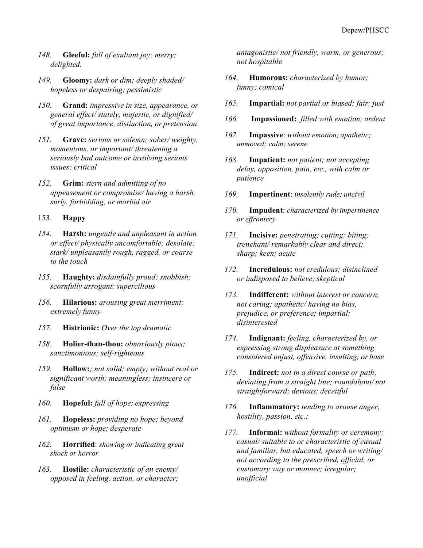- *148.* **Gleeful:** *full of exultant joy; merry; delighted.*
- *149.* **Gloomy:** *dark or dim; deeply shaded/ hopeless or despairing; pessimistic*
- *150.* **Grand:** *impressive in size, appearance, or general effect/ stately, majestic, or dignified/ of great importance, distinction, or pretension*
- *151.* **Grave:** *serious or solemn; sober/ weighty, momentous, or important/ threatening a seriously bad outcome or involving serious issues; critical*
- *152.* **Grim:** *stern and admitting of no appeasement or compromise/ having a harsh, surly, forbidding, or morbid air*

#### 153. **Happy**

- *154.* **Harsh:** *ungentle and unpleasant in action or effect/ physically uncomfortable; desolate; stark/ unpleasantly rough, ragged, or coarse to the touch*
- *155.* **Haughty:** *disdainfully proud; snobbish; scornfully arrogant; supercilious*
- *156.* **Hilarious:** *arousing great merriment; extremely funny*
- *157.* **Histrionic:** *Over the top dramatic*
- *158.* **Holier-than-thou:** *obnoxiously pious; sanctimonious; self-righteous*
- *159.* **Hollow:***; not solid; empty; without real or significant worth; meaningless; insincere or false*
- *160.* **Hopeful:** *full of hope; expressing*
- *161.* **Hopeless:** *providing no hope; beyond optimism or hope; desperate*
- *162.* **Horrified**: *showing or indicating great shock or horror*
- *163.* **Hostile:** *characteristic of an enemy/ opposed in feeling, action, or character;*

*antagonistic/ not friendly, warm, or generous; not hospitable*

- *164.* **Humorous:** *characterized by humor; funny; comical*
- *165.* **Impartial:** *not partial or biased; fair; just*
- *166.* **Impassioned:** *filled with emotion; ardent*
- *167.* **Impassive**: *without emotion; apathetic; unmoved; calm; serene*
- *168.* **Impatient:** *not patient; not accepting delay, opposition, pain, etc., with calm or patience*
- *169.* **Impertinent**: *insolently rude; uncivil*
- *170.* **Impudent**: *characterized by impertinence or effrontery*
- *171.* **Incisive:** *penetrating; cutting; biting; trenchant/ remarkably clear and direct; sharp; keen; acute*
- *172.* **Incredulous:** *not credulous; disinclined or indisposed to believe; skeptical*
- *173.* **Indifferent:** *without interest or concern; not caring; apathetic/ having no bias, prejudice, or preference; impartial; disinterested*
- *174.* **Indignant:** *feeling, characterized by, or expressing strong displeasure at something considered unjust, offensive, insulting, or base*
- *175.* **Indirect:** *not in a direct course or path; deviating from a straight line; roundabout/ not straightforward; devious; deceitful*
- *176.* **Inflammatory:** *tending to arouse anger, hostility, passion, etc.:*
- *177.* **Informal:** *without formality or ceremony; casual/ suitable to or characteristic of casual and familiar, but educated, speech or writing/ not according to the prescribed, official, or customary way or manner; irregular; unofficial*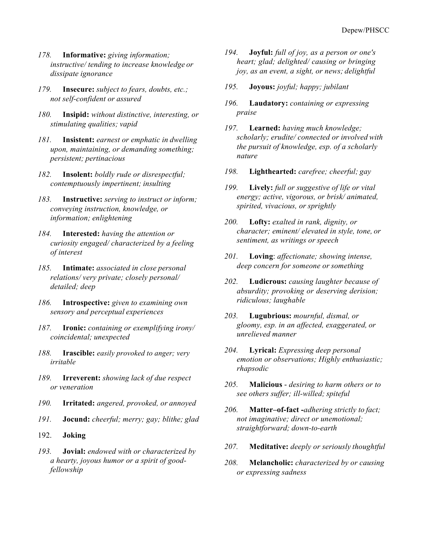- *178.* **Informative:** *giving information; instructive/ tending to increase knowledge or dissipate ignorance*
- *179.* **Insecure:** *subject to fears, doubts, etc.; not self-confident or assured*
- *180.* **Insipid:** *without distinctive, interesting, or stimulating qualities; vapid*
- *181.* **Insistent:** *earnest or emphatic in dwelling upon, maintaining, or demanding something; persistent; pertinacious*
- *182.* **Insolent:** *boldly rude or disrespectful; contemptuously impertinent; insulting*
- *183.* **Instructive:** *serving to instruct or inform; conveying instruction, knowledge, or information; enlightening*
- *184.* **Interested:** *having the attention or curiosity engaged/ characterized by a feeling of interest*
- *185.* **Intimate:** *associated in close personal relations/ very private; closely personal/ detailed; deep*
- *186.* **Introspective:** *given to examining own sensory and perceptual experiences*
- *187.* **Ironic:** *containing or exemplifying irony/ coincidental; unexpected*
- *188.* **Irascible:** *easily provoked to anger; very irritable*
- *189.* **Irreverent:** *showing lack of due respect or veneration*
- *190.* **Irritated:** *angered, provoked, or annoyed*
- *191.* **Jocund:** *cheerful; merry; gay; blithe; glad*
- 192. **Joking**
- *193.* **Jovial:** *endowed with or characterized by a hearty, joyous humor or a spirit of goodfellowship*
- *194.* **Joyful:** *full of joy, as a person or one's heart; glad; delighted/ causing or bringing joy, as an event, a sight, or news; delightful*
- *195.* **Joyous:** *joyful; happy; jubilant*
- *196.* **Laudatory:** *containing or expressing praise*
- *197.* **Learned:** *having much knowledge; scholarly; erudite/ connected or involved with the pursuit of knowledge, esp. of a scholarly nature*
- *198.* **Lighthearted:** *carefree; cheerful; gay*
- *199.* **Lively:** *full or suggestive of life or vital energy; active, vigorous, or brisk/ animated, spirited, vivacious, or sprightly*
- *200.* **Lofty:** *exalted in rank, dignity, or character; eminent/ elevated in style, tone, or sentiment, as writings or speech*
- *201.* **Loving**: *affectionate; showing intense, deep concern for someone or something*
- *202.* **Ludicrous:** *causing laughter because of absurdity; provoking or deserving derision; ridiculous; laughable*
- *203.* **Lugubrious:** *mournful, dismal, or gloomy, esp. in an affected, exaggerated, or unrelieved manner*
- *204.* **Lyrical:** *Expressing deep personal emotion or observations; Highly enthusiastic; rhapsodic*
- *205.* **Malicious**  *desiring to harm others or to see others suffer; ill-willed; spiteful*
- *206.* **Matter–of-fact -***adhering strictly to fact; not imaginative; direct or unemotional; straightforward; down-to-earth*
- *207.* **Meditative:** *deeply or seriously thoughtful*
- *208.* **Melancholic:** *characterized by or causing or expressing sadness*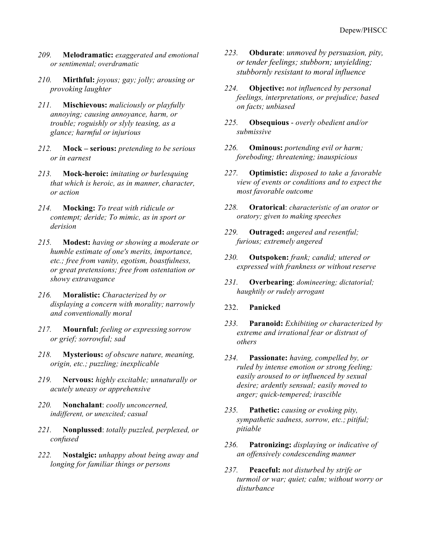- *209.* **Melodramatic:** *exaggerated and emotional or sentimental; overdramatic*
- *210.* **Mirthful:** *joyous; gay; jolly; arousing or provoking laughter*
- *211.* **Mischievous:** *maliciously or playfully annoying; causing annoyance, harm, or trouble; roguishly or slyly teasing, as a glance; harmful or injurious*
- *212.* **Mock – serious:** *pretending to be serious or in earnest*
- *213.* **Mock-heroic:** *imitating or burlesquing that which is heroic, as in manner, character, or action*
- *214.* **Mocking:** *To treat with ridicule or contempt; deride; To mimic, as in sport or derision*
- *215.* **Modest:** *having or showing a moderate or humble estimate of one's merits, importance, etc.; free from vanity, egotism, boastfulness, or great pretensions; free from ostentation or showy extravagance*
- *216.* **Moralistic:** *Characterized by or displaying a concern with morality; narrowly and conventionally moral*
- *217.* **Mournful:** *feeling or expressing sorrow or grief; sorrowful; sad*
- *218.* **Mysterious:** *of obscure nature, meaning, origin, etc.; puzzling; inexplicable*
- *219.* **Nervous:** *highly excitable; unnaturally or acutely uneasy or apprehensive*
- *220.* **Nonchalant**: *coolly unconcerned, indifferent, or unexcited; casual*
- *221.* **Nonplussed**: *totally puzzled, perplexed, or confused*
- *222.* **Nostalgic:** *unhappy about being away and longing for familiar things or persons*
- *223.* **Obdurate**: *unmoved by persuasion, pity, or tender feelings; stubborn; unyielding; stubbornly resistant to moral influence*
- *224.* **Objective:** *not influenced by personal feelings, interpretations, or prejudice; based on facts; unbiased*
- *225.* **Obsequious**  *overly obedient and/or submissive*
- *226.* **Ominous:** *portending evil or harm; foreboding; threatening; inauspicious*
- *227.* **Optimistic:** *disposed to take a favorable view of events or conditions and to expect the most favorable outcome*
- *228.* **Oratorical**: *characteristic of an orator or oratory; given to making speeches*
- *229.* **Outraged:** *angered and resentful; furious; extremely angered*
- *230.* **Outspoken:** *frank; candid; uttered or expressed with frankness or without reserve*
- *231.* **Overbearing**: *domineering; dictatorial; haughtily or rudely arrogant*

#### 232. **Panicked**

- *233.* **Paranoid:** *Exhibiting or characterized by extreme and irrational fear or distrust of others*
- *234.* **Passionate:** *having, compelled by, or ruled by intense emotion or strong feeling; easily aroused to or influenced by sexual desire; ardently sensual; easily moved to anger; quick-tempered; irascible*
- *235.* **Pathetic:** *causing or evoking pity, sympathetic sadness, sorrow, etc.; pitiful; pitiable*
- *236.* **Patronizing:** *displaying or indicative of an offensively condescending manner*
- *237.* **Peaceful:** *not disturbed by strife or turmoil or war; quiet; calm; without worry or disturbance*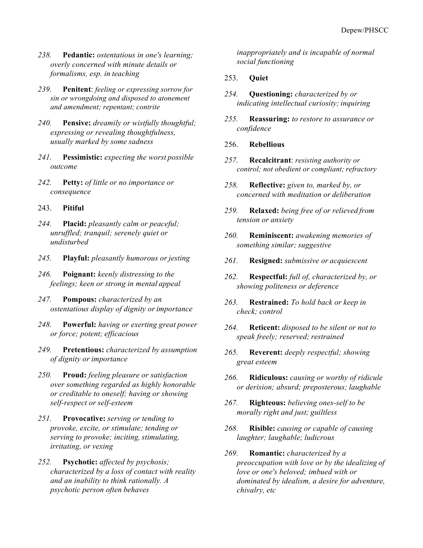- *238.* **Pedantic:** *ostentatious in one's learning; overly concerned with minute details or formalisms, esp. in teaching*
- *239.* **Penitent**: *feeling or expressing sorrow for sin or wrongdoing and disposed to atonement and amendment; repentant; contrite*
- *240.* **Pensive:** *dreamily or wistfully thoughtful; expressing or revealing thoughtfulness, usually marked by some sadness*
- *241.* **Pessimistic:** *expecting the worst possible outcome*
- *242.* **Petty:** *of little or no importance or consequence*
- 243. **Pitiful**
- *244.* **Placid:** *pleasantly calm or peaceful; unruffled; tranquil; serenely quiet or undisturbed*
- *245.* **Playful:** *pleasantly humorous or jesting*
- *246.* **Poignant:** *keenly distressing to the feelings; keen or strong in mental appeal*
- *247.* **Pompous:** *characterized by an ostentatious display of dignity orimportance*
- *248.* **Powerful:** *having or exerting great power or force; potent; efficacious*
- *249.* **Pretentious:** *characterized by assumption of dignity or importance*
- *250.* **Proud:** *feeling pleasure or satisfaction over something regarded as highly honorable or creditable to oneself; having or showing self-respect or self-esteem*
- *251.* **Provocative:** *serving or tending to provoke, excite, or stimulate; tending or serving to provoke; inciting, stimulating, irritating, or vexing*
- *252.* **Psychotic:** *affected by psychosis; characterized by a loss of contact with reality and an inability to think rationally. A psychotic person often behaves*

*inappropriately and is incapable of normal social functioning*

#### 253. **Quiet**

- *254.* **Questioning:** *characterized by or indicating intellectual curiosity; inquiring*
- *255.* **Reassuring:** *to restore to assurance or confidence*
- 256. **Rebellious**
- *257.* **Recalcitrant**: *resisting authority or control; not obedient or compliant; refractory*
- *258.* **Reflective:** *given to, marked by, or concerned with meditation or deliberation*
- *259.* **Relaxed:** *being free of or relieved from tension or anxiety*
- *260.* **Reminiscent:** *awakening memories of something similar; suggestive*
- *261.* **Resigned:** *submissive or acquiescent*
- *262.* **Respectful:** *full of, characterized by, or showing politeness or deference*
- *263.* **Restrained:** *To hold back or keep in check; control*
- *264.* **Reticent:** *disposed to be silent or not to speak freely; reserved; restrained*
- *265.* **Reverent:** *deeply respectful; showing great esteem*
- *266.* **Ridiculous:** *causing or worthy of ridicule or derision; absurd; preposterous; laughable*
- *267.* **Righteous:** *believing ones-self to be morally right and just; guiltless*
- *268.* **Risible:** *causing or capable of causing laughter; laughable; ludicrous*
- *269.* **Romantic:** *characterized by a preoccupation with love or by the idealizing of love or one's beloved; imbued with or dominated by idealism, a desire for adventure, chivalry, etc*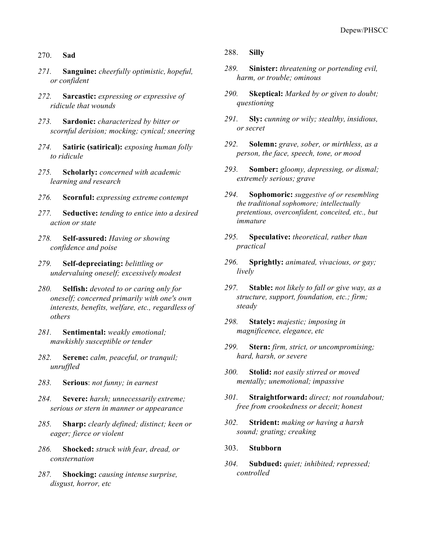#### 270. **Sad**

- *271.* **Sanguine:** *cheerfully optimistic, hopeful, or confident*
- *272.* **Sarcastic:** *expressing or expressive of ridicule that wounds*
- *273.* **Sardonic:** *characterized by bitter or scornful derision; mocking; cynical;sneering*
- *274.* **Satiric (satirical):** *exposing human folly to ridicule*
- *275.* **Scholarly:** *concerned with academic learning and research*
- *276.* **Scornful:** *expressing extreme contempt*
- *277.* **Seductive:** *tending to entice into a desired action or state*
- *278.* **Self-assured:** *Having or showing confidence and poise*
- *279.* **Self-depreciating:** *belittling or undervaluing oneself; excessively modest*
- *280.* **Selfish:** *devoted to or caring only for oneself; concerned primarily with one's own interests, benefits, welfare, etc., regardless of others*
- *281.* **Sentimental:** *weakly emotional; mawkishly susceptible or tender*
- *282.* **Serene:** *calm, peaceful, or tranquil; unruffled*
- *283.* **Serious**: *not funny; in earnest*
- *284.* **Severe:** *harsh; unnecessarily extreme; serious or stern in manner or appearance*
- *285.* **Sharp:** *clearly defined; distinct; keen or eager; fierce or violent*
- *286.* **Shocked:** *struck with fear, dread, or consternation*
- *287.* **Shocking:** *causing intense surprise, disgust, horror, etc*

#### 288. **Silly**

- *289.* **Sinister:** *threatening or portending evil, harm, or trouble; ominous*
- *290.* **Skeptical:** *Marked by or given to doubt; questioning*
- *291.* **Sly:** *cunning or wily; stealthy, insidious, or secret*
- *292.* **Solemn:** *grave, sober, or mirthless, as a person, the face, speech, tone, or mood*
- *293.* **Somber:** *gloomy, depressing, or dismal; extremely serious; grave*
- *294.* **Sophomoric:** *suggestive of or resembling the traditional sophomore; intellectually pretentious, overconfident, conceited, etc., but immature*
- *295.* **Speculative:** *theoretical, rather than practical*
- *296.* **Sprightly:** *animated, vivacious, or gay; lively*
- *297.* **Stable:** *not likely to fall or give way, as a structure, support, foundation, etc.; firm; steady*
- *298.* **Stately:** *majestic; imposing in magnificence, elegance, etc*
- *299.* **Stern:** *firm, strict, or uncompromising; hard, harsh, or severe*
- *300.* **Stolid:** *not easily stirred or moved mentally; unemotional; impassive*
- *301.* **Straightforward:** *direct; not roundabout; free from crookedness or deceit; honest*
- *302.* **Strident:** *making or having a harsh sound; grating; creaking*
- 303. **Stubborn**
- *304.* **Subdued:** *quiet; inhibited; repressed; controlled*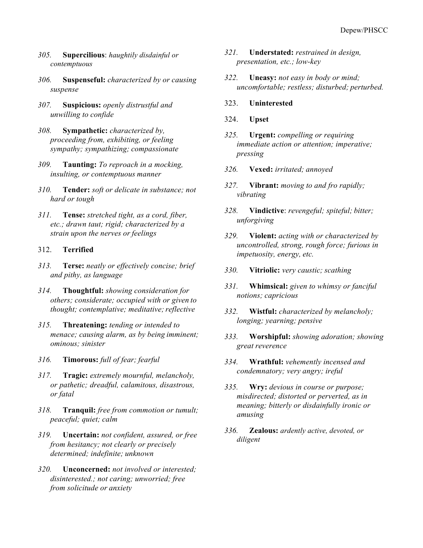- *305.* **Supercilious**: *haughtily disdainful or contemptuous*
- *306.* **Suspenseful:** *characterized by or causing suspense*
- *307.* **Suspicious:** *openly distrustful and unwilling to confide*
- *308.* **Sympathetic:** *characterized by, proceeding from, exhibiting, or feeling sympathy; sympathizing; compassionate*
- *309.* **Taunting:** *To reproach in a mocking, insulting, or contemptuous manner*
- *310.* **Tender:** *soft or delicate in substance; not hard or tough*
- *311.* **Tense:** *stretched tight, as a cord, fiber, etc.; drawn taut; rigid; characterized by a strain upon the nerves or feelings*
- 312. **Terrified**
- *313.* **Terse:** *neatly or effectively concise; brief and pithy, as language*
- *314.* **Thoughtful:** *showing consideration for others; considerate; occupied with or given to thought; contemplative; meditative;reflective*
- *315.* **Threatening:** *tending or intended to menace; causing alarm, as by being imminent; ominous; sinister*
- *316.* **Timorous:** *full of fear; fearful*
- *317.* **Tragic:** *extremely mournful, melancholy, or pathetic; dreadful, calamitous, disastrous, or fatal*
- *318.* **Tranquil:** *free from commotion or tumult; peaceful; quiet; calm*
- *319.* **Uncertain:** *not confident, assured, or free from hesitancy; not clearly or precisely determined; indefinite; unknown*
- *320.* **Unconcerned:** *not involved or interested; disinterested.; not caring; unworried; free from solicitude or anxiety*
- *321.* **Understated:** *restrained in design, presentation, etc.; low-key*
- *322.* **Uneasy:** *not easy in body or mind; uncomfortable; restless; disturbed; perturbed.*
- 323. **Uninterested**
- 324. **Upset**
- *325.* **Urgent:** *compelling or requiring immediate action or attention; imperative; pressing*
- *326.* **Vexed:** *irritated; annoyed*
- *327.* **Vibrant:** *moving to and fro rapidly; vibrating*
- *328.* **Vindictive**: *revengeful; spiteful; bitter; unforgiving*
- *329.* **Violent:** *acting with or characterized by uncontrolled, strong, rough force; furious in impetuosity, energy, etc.*
- *330.* **Vitriolic:** *very caustic; scathing*
- *331.* **Whimsical:** *given to whimsy or fanciful notions; capricious*
- *332.* **Wistful:** *characterized by melancholy; longing; yearning; pensive*
- *333.* **Worshipful:** *showing adoration; showing great reverence*
- *334.* **Wrathful:** *vehemently incensed and condemnatory; very angry; ireful*
- *335.* **Wry:** *devious in course or purpose; misdirected; distorted or perverted, as in meaning; bitterly or disdainfully ironic or amusing*
- *336.* **Zealous:** *ardently active, devoted, or diligent*